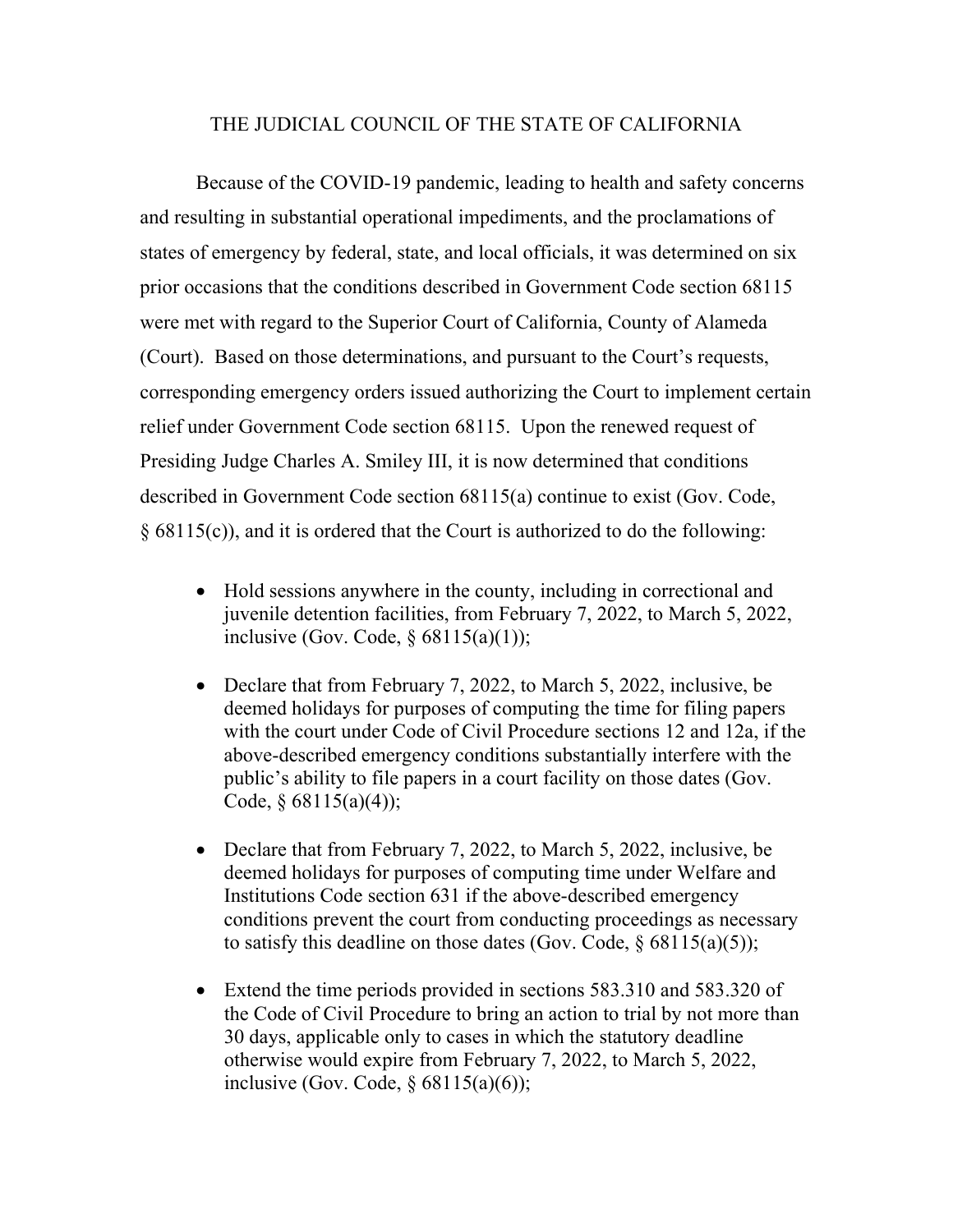## THE JUDICIAL COUNCIL OF THE STATE OF CALIFORNIA

Because of the COVID-19 pandemic, leading to health and safety concerns and resulting in substantial operational impediments, and the proclamations of states of emergency by federal, state, and local officials, it was determined on six prior occasions that the conditions described in Government Code section 68115 were met with regard to the Superior Court of California, County of Alameda (Court). Based on those determinations, and pursuant to the Court's requests, corresponding emergency orders issued authorizing the Court to implement certain relief under Government Code section 68115. Upon the renewed request of Presiding Judge Charles A. Smiley III, it is now determined that conditions described in Government Code section 68115(a) continue to exist (Gov. Code, § 68115(c)), and it is ordered that the Court is authorized to do the following:

- Hold sessions anywhere in the county, including in correctional and juvenile detention facilities, from February 7, 2022, to March 5, 2022, inclusive (Gov. Code,  $\S$  68115(a)(1));
- Declare that from February 7, 2022, to March 5, 2022, inclusive, be deemed holidays for purposes of computing the time for filing papers with the court under Code of Civil Procedure sections 12 and 12a, if the above-described emergency conditions substantially interfere with the public's ability to file papers in a court facility on those dates (Gov. Code,  $§ 68115(a)(4)$ ;
- Declare that from February 7, 2022, to March 5, 2022, inclusive, be deemed holidays for purposes of computing time under Welfare and Institutions Code section 631 if the above-described emergency conditions prevent the court from conducting proceedings as necessary to satisfy this deadline on those dates (Gov. Code,  $\delta$  68115(a)(5));
- Extend the time periods provided in sections 583.310 and 583.320 of the Code of Civil Procedure to bring an action to trial by not more than 30 days, applicable only to cases in which the statutory deadline otherwise would expire from February 7, 2022, to March 5, 2022, inclusive (Gov. Code,  $\S$  68115(a)(6));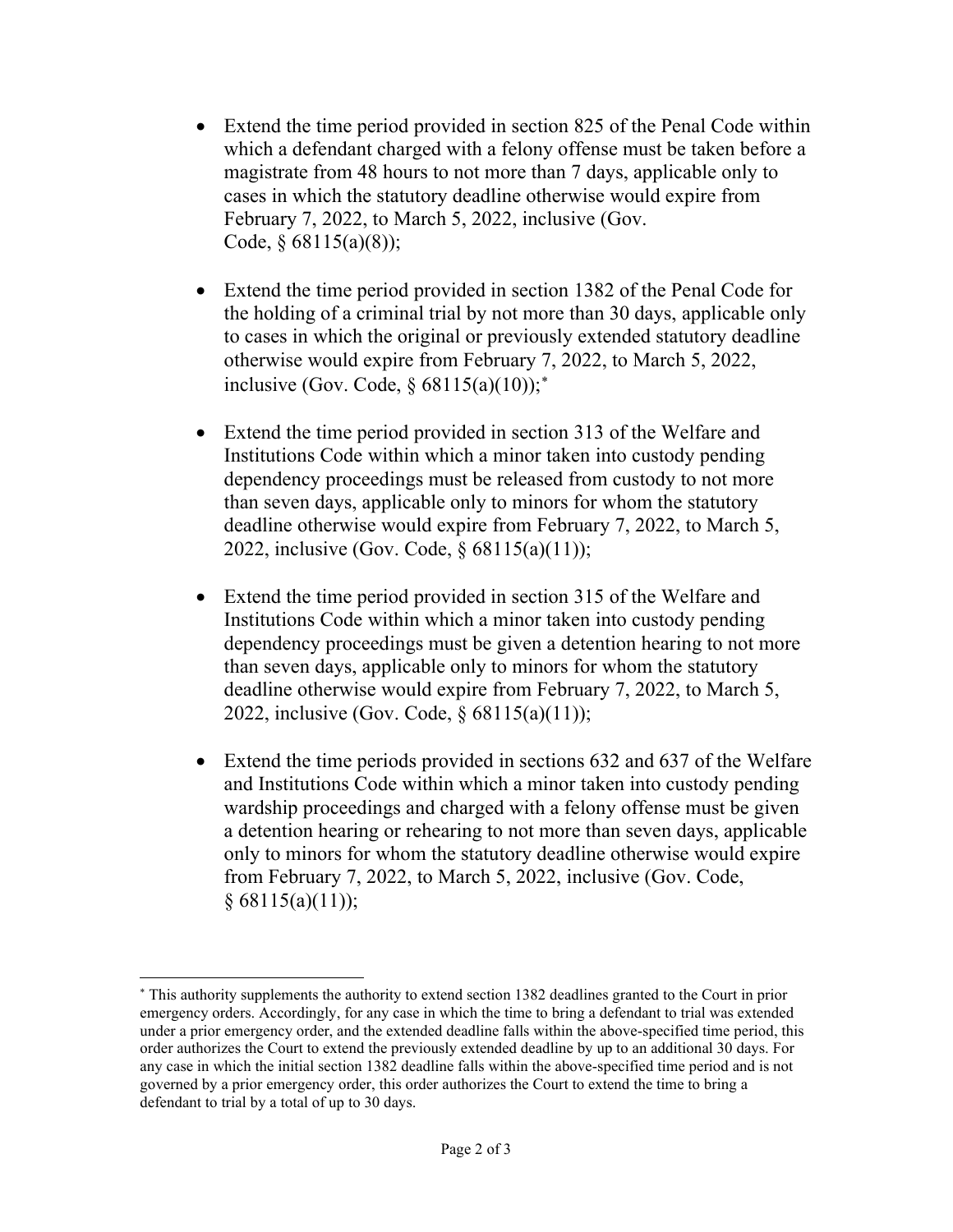- Extend the time period provided in section 825 of the Penal Code within which a defendant charged with a felony offense must be taken before a magistrate from 48 hours to not more than 7 days, applicable only to cases in which the statutory deadline otherwise would expire from February 7, 2022, to March 5, 2022, inclusive (Gov. Code,  $§ 68115(a)(8)$ ;
- Extend the time period provided in section 1382 of the Penal Code for the holding of a criminal trial by not more than 30 days, applicable only to cases in which the original or previously extended statutory deadline otherwise would expire from February 7, 2022, to March 5, 2022, inclusive (Gov. Code, §  $68115(a)(10)$ );<sup>\*</sup>
- Extend the time period provided in section 313 of the Welfare and Institutions Code within which a minor taken into custody pending dependency proceedings must be released from custody to not more than seven days, applicable only to minors for whom the statutory deadline otherwise would expire from February 7, 2022, to March 5, 2022, inclusive (Gov. Code, § 68115(a)(11));
- Extend the time period provided in section 315 of the Welfare and Institutions Code within which a minor taken into custody pending dependency proceedings must be given a detention hearing to not more than seven days, applicable only to minors for whom the statutory deadline otherwise would expire from February 7, 2022, to March 5, 2022, inclusive (Gov. Code, § 68115(a)(11));
- Extend the time periods provided in sections 632 and 637 of the Welfare and Institutions Code within which a minor taken into custody pending wardship proceedings and charged with a felony offense must be given a detention hearing or rehearing to not more than seven days, applicable only to minors for whom the statutory deadline otherwise would expire from February 7, 2022, to March 5, 2022, inclusive (Gov. Code,  $§ 68115(a)(11));$

<span id="page-1-0"></span><sup>∗</sup> This authority supplements the authority to extend section 1382 deadlines granted to the Court in prior emergency orders. Accordingly, for any case in which the time to bring a defendant to trial was extended under a prior emergency order, and the extended deadline falls within the above-specified time period, this order authorizes the Court to extend the previously extended deadline by up to an additional 30 days. For any case in which the initial section 1382 deadline falls within the above-specified time period and is not governed by a prior emergency order, this order authorizes the Court to extend the time to bring a defendant to trial by a total of up to 30 days.